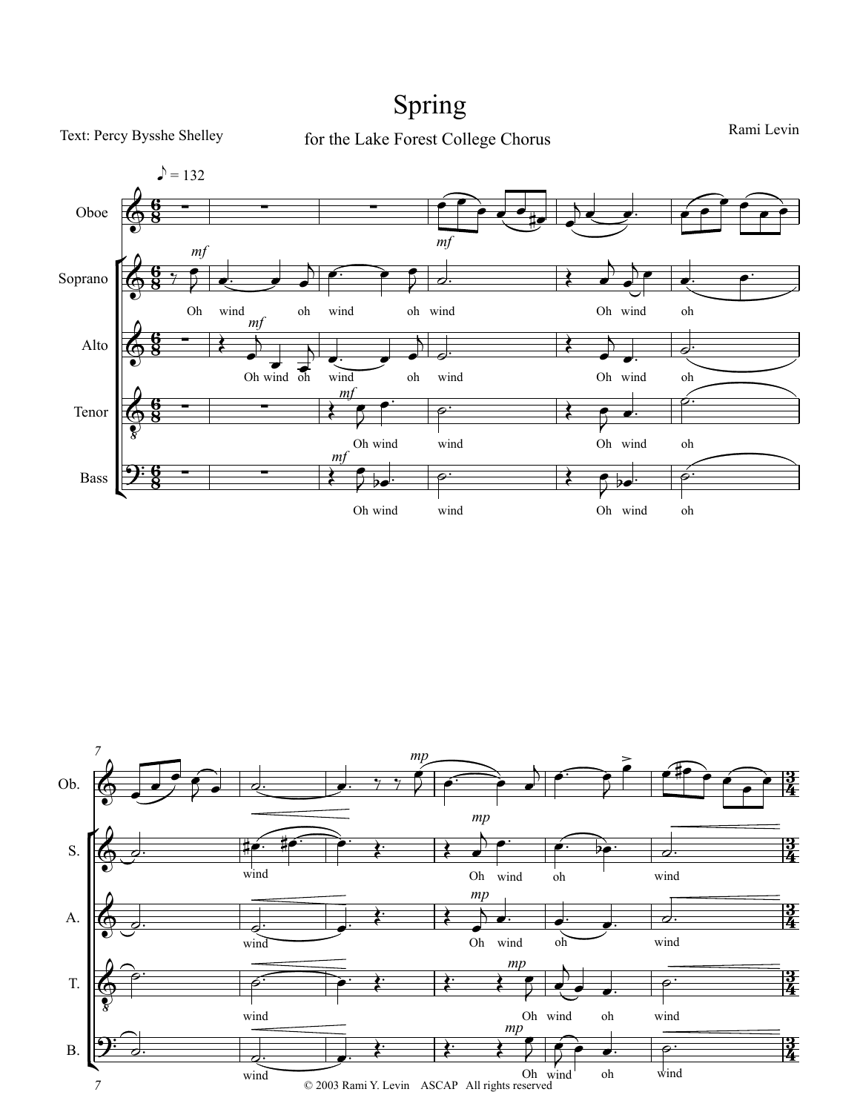## Spring





Text: Percy Bysshe Shelley

## for the Lake Forest College Chorus

Rami Levin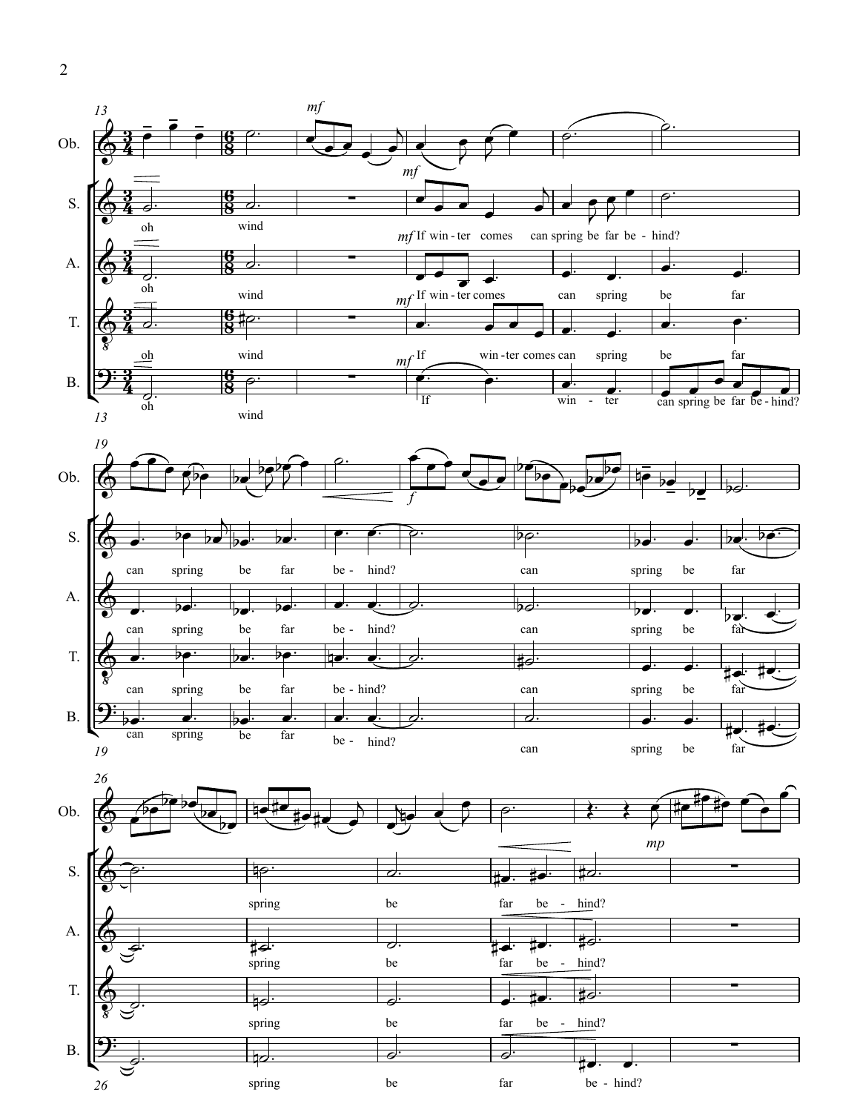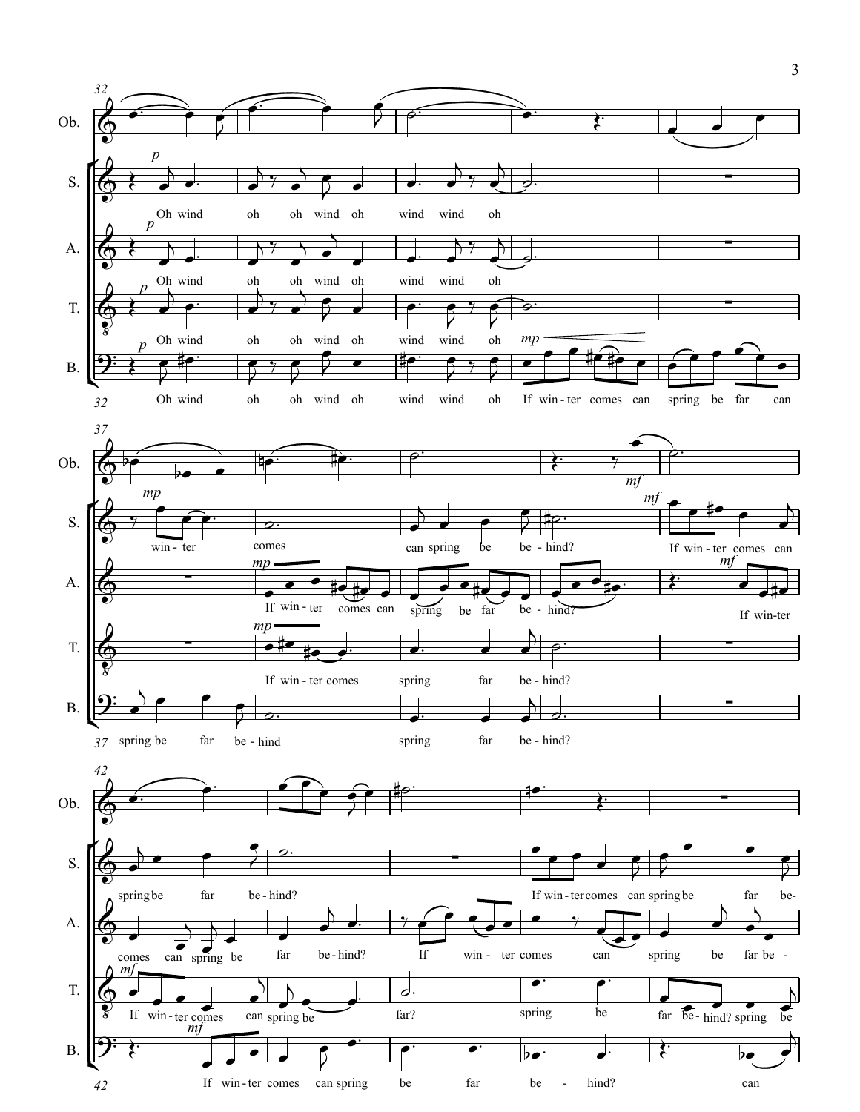